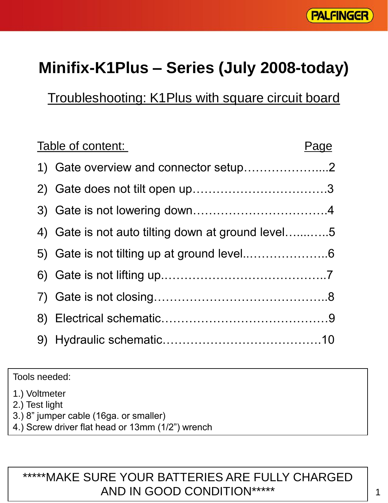

# **Minifix-K1Plus – Series (July 2008-today)**

Troubleshooting: K1Plus with square circuit board

| Table of content:                                 | Page |
|---------------------------------------------------|------|
|                                                   |      |
|                                                   |      |
|                                                   |      |
| 4) Gate is not auto tilting down at ground level5 |      |
|                                                   |      |
|                                                   |      |
|                                                   |      |
|                                                   |      |
|                                                   |      |

Tools needed:

1.) Voltmeter

2.) Test light

- 3.) 8" jumper cable (16ga. or smaller)
- 4.) Screw driver flat head or 13mm (1/2") wrench

#### \*\*\*\*\*MAKE SURE YOUR BATTERIES ARE FULLY CHARGED AND IN GOOD CONDITION\*\*\*\*\*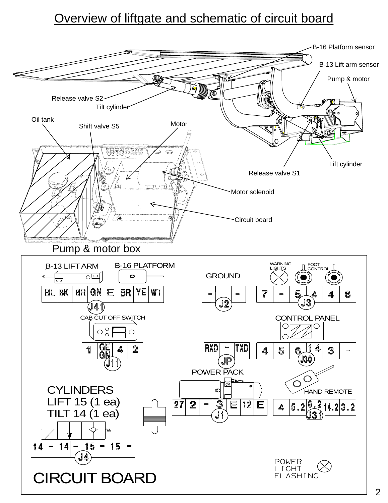### Overview of liftgate and schematic of circuit board

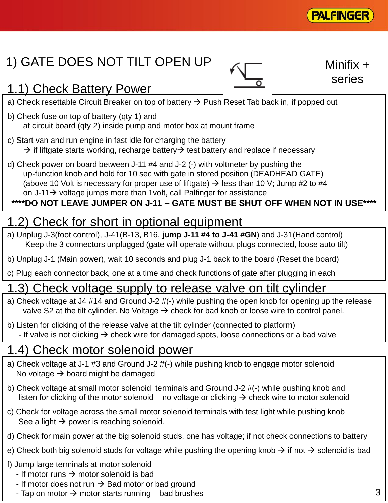

Minifix +

series

# 1) GATE DOES NOT TILT OPEN UP

# 1.1) Check Battery Power

- a) Check resettable Circuit Breaker on top of battery  $\rightarrow$  Push Reset Tab back in, if popped out
- b) Check fuse on top of battery (qty 1) and at circuit board (qty 2) inside pump and motor box at mount frame
- c) Start van and run engine in fast idle for charging the battery  $\rightarrow$  if liftgate starts working, recharge battery  $\rightarrow$  test battery and replace if necessary
- d) Check power on board between J-11 #4 and J-2 (-) with voltmeter by pushing the up-function knob and hold for 10 sec with gate in stored position (DEADHEAD GATE) (above 10 Volt is necessary for proper use of liftgate)  $\rightarrow$  less than 10 V; Jump #2 to #4 on  $J-11 \rightarrow$  voltage jumps more than 1 volt, call Palfinger for assistance

#### **\*\*\*\*DO NOT LEAVE JUMPER ON J-11 – GATE MUST BE SHUT OFF WHEN NOT IN USE\*\*\*\***

### 1.2) Check for short in optional equipment

- a) Unplug J-3(foot control), J-41(B-13, B16, **jump J-11 #4 to J-41 #GN**) and J-31(Hand control) Keep the 3 connectors unplugged (gate will operate without plugs connected, loose auto tilt)
- b) Unplug J-1 (Main power), wait 10 seconds and plug J-1 back to the board (Reset the board)
- c) Plug each connector back, one at a time and check functions of gate after plugging in each

#### 1.3) Check voltage supply to release valve on tilt cylinder

- a) Check voltage at J4 #14 and Ground J-2 #(-) while pushing the open knob for opening up the release valve S2 at the tilt cylinder. No Voltage  $\rightarrow$  check for bad knob or loose wire to control panel.
- b) Listen for clicking of the release valve at the tilt cylinder (connected to platform) - If valve is not clicking  $\rightarrow$  check wire for damaged spots, loose connections or a bad valve

### 1.4) Check motor solenoid power

- a) Check voltage at J-1 #3 and Ground J-2 #(-) while pushing knob to engage motor solenoid No voltage  $\rightarrow$  board might be damaged
- b) Check voltage at small motor solenoid terminals and Ground J-2 #(-) while pushing knob and listen for clicking of the motor solenoid – no voltage or clicking  $\rightarrow$  check wire to motor solenoid
- c) Check for voltage across the small motor solenoid terminals with test light while pushing knob See a light  $\rightarrow$  power is reaching solenoid.
- d) Check for main power at the big solenoid studs, one has voltage; if not check connections to battery
- e) Check both big solenoid studs for voltage while pushing the opening knob  $\rightarrow$  if not  $\rightarrow$  solenoid is bad
- f) Jump large terminals at motor solenoid
	- If motor runs  $\rightarrow$  motor solenoid is bad
	- If motor does not run  $\rightarrow$  Bad motor or bad ground
	- Tap on motor  $\rightarrow$  motor starts running bad brushes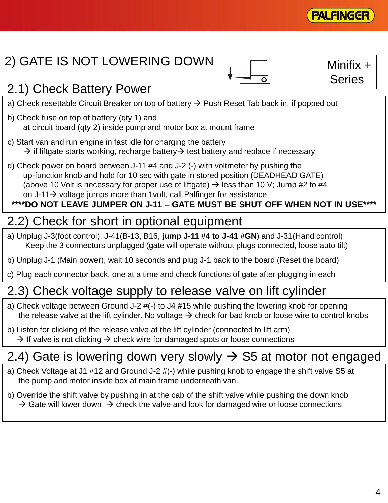

# 2) GATE IS NOT LOWERING DOWN

Minifix + Series

# 2.1) Check Battery Power

- a) Check resettable Circuit Breaker on top of battery  $\rightarrow$  Push Reset Tab back in, if popped out
- b) Check fuse on top of battery (qty 1) and at circuit board (qty 2) inside pump and motor box at mount frame
- c) Start van and run engine in fast idle for charging the battery  $\rightarrow$  if liftgate starts working, recharge battery  $\rightarrow$  test battery and replace if necessary
- d) Check power on board between J-11 #4 and J-2 (-) with voltmeter by pushing the up-function knob and hold for 10 sec with gate in stored position (DEADHEAD GATE) (above 10 Volt is necessary for proper use of liftgate)  $\rightarrow$  less than 10 V; Jump #2 to #4 on  $J-11 \rightarrow$  voltage jumps more than 1 volt, call Palfinger for assistance

#### **\*\*\*\*DO NOT LEAVE JUMPER ON J-11 – GATE MUST BE SHUT OFF WHEN NOT IN USE\*\*\*\***

# 2.2) Check for short in optional equipment

- a) Unplug J-3(foot control), J-41(B-13, B16, **jump J-11 #4 to J-41 #GN**) and J-31(Hand control) Keep the 3 connectors unplugged (gate will operate without plugs connected, loose auto tilt)
- b) Unplug J-1 (Main power), wait 10 seconds and plug J-1 back to the board (Reset the board)
- c) Plug each connector back, one at a time and check functions of gate after plugging in each

# 2.3) Check voltage supply to release valve on lift cylinder

- a) Check voltage between Ground J-2 #(-) to J4 #15 while pushing the lowering knob for opening the release valve at the lift cylinder. No voltage  $\rightarrow$  check for bad knob or loose wire to control knobs
- b) Listen for clicking of the release valve at the lift cylinder (connected to lift arm)  $\rightarrow$  If valve is not clicking  $\rightarrow$  check wire for damaged spots or loose connections

# 2.4) Gate is lowering down very slowly  $\rightarrow$  S5 at motor not engaged

- a) Check Voltage at J1 #12 and Ground J-2 #(-) while pushing knob to engage the shift valve S5 at the pump and motor inside box at main frame underneath van.
- b) Override the shift valve by pushing in at the cab of the shift valve while pushing the down knob  $\rightarrow$  Gate will lower down  $\rightarrow$  check the valve and look for damaged wire or loose connections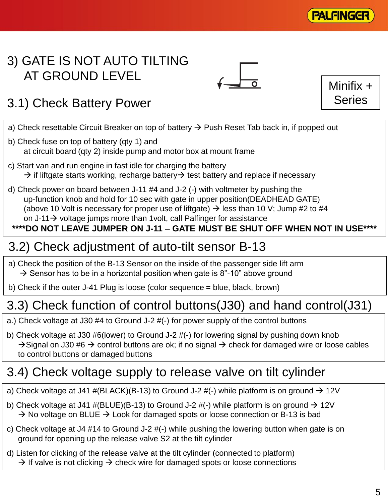

Minifix +

**Series** 

### 3) GATE IS NOT AUTO TILTING AT GROUND LEVEL

# 3.1) Check Battery Power

- a) Check resettable Circuit Breaker on top of battery  $\rightarrow$  Push Reset Tab back in, if popped out
- b) Check fuse on top of battery (qty 1) and at circuit board (qty 2) inside pump and motor box at mount frame
- c) Start van and run engine in fast idle for charging the battery  $\rightarrow$  if liftgate starts working, recharge battery  $\rightarrow$  test battery and replace if necessary
- d) Check power on board between J-11 #4 and J-2 (-) with voltmeter by pushing the up-function knob and hold for 10 sec with gate in upper position(DEADHEAD GATE) (above 10 Volt is necessary for proper use of liftgate)  $\rightarrow$  less than 10 V; Jump #2 to #4 on J-11 $\rightarrow$  voltage jumps more than 1 volt, call Palfinger for assistance

#### **\*\*\*\*DO NOT LEAVE JUMPER ON J-11 – GATE MUST BE SHUT OFF WHEN NOT IN USE\*\*\*\***

#### 3.2) Check adjustment of auto-tilt sensor B-13

- a) Check the position of the B-13 Sensor on the inside of the passenger side lift arm  $\rightarrow$  Sensor has to be in a horizontal position when gate is 8"-10" above ground
- b) Check if the outer J-41 Plug is loose (color sequence = blue, black, brown)

### 3.3) Check function of control buttons(J30) and hand control(J31)

- a.) Check voltage at J30 #4 to Ground J-2 #(-) for power supply of the control buttons
- b) Check voltage at J30 #6(lower) to Ground J-2 #(-) for lowering signal by pushing down knob  $\rightarrow$  Signal on J30 #6  $\rightarrow$  control buttons are ok; if no signal  $\rightarrow$  check for damaged wire or loose cables to control buttons or damaged buttons

### 3.4) Check voltage supply to release valve on tilt cylinder

- a) Check voltage at J41 #(BLACK)(B-13) to Ground J-2 #(-) while platform is on ground  $\rightarrow$  12V
- b) Check voltage at J41 #(BLUE)(B-13) to Ground J-2 #(-) while platform is on ground  $\rightarrow$  12V  $\rightarrow$  No voltage on BLUE  $\rightarrow$  Look for damaged spots or loose connection or B-13 is bad
- c) Check voltage at J4 #14 to Ground J-2 #(-) while pushing the lowering button when gate is on ground for opening up the release valve S2 at the tilt cylinder
- d) Listen for clicking of the release valve at the tilt cylinder (connected to platform)  $\rightarrow$  If valve is not clicking  $\rightarrow$  check wire for damaged spots or loose connections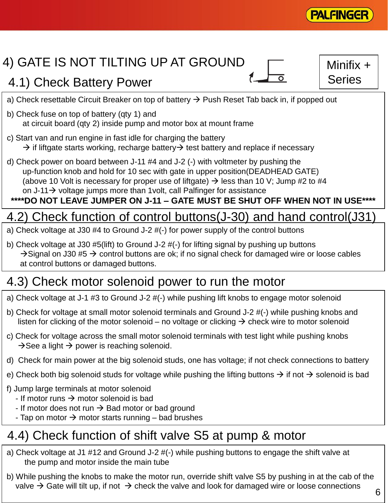

# 4) GATE IS NOT TILTING UP AT GROUND

# 4.1) Check Battery Power

Minifix + Series

- a) Check resettable Circuit Breaker on top of battery  $\rightarrow$  Push Reset Tab back in, if popped out
- b) Check fuse on top of battery (qty 1) and at circuit board (qty 2) inside pump and motor box at mount frame
- c) Start van and run engine in fast idle for charging the battery  $\rightarrow$  if liftgate starts working, recharge battery  $\rightarrow$  test battery and replace if necessary
- d) Check power on board between J-11 #4 and J-2 (-) with voltmeter by pushing the up-function knob and hold for 10 sec with gate in upper position(DEADHEAD GATE) (above 10 Volt is necessary for proper use of liftgate)  $\rightarrow$  less than 10 V; Jump #2 to #4 on  $J-11 \rightarrow$  voltage jumps more than 1 volt, call Palfinger for assistance

#### **\*\*\*\*DO NOT LEAVE JUMPER ON J-11 – GATE MUST BE SHUT OFF WHEN NOT IN USE\*\*\*\***

# 4.2) Check function of control buttons(J-30) and hand control(J31)

- a) Check voltage at J30 #4 to Ground J-2 #(-) for power supply of the control buttons
- b) Check voltage at J30 #5(lift) to Ground J-2 #(-) for lifting signal by pushing up buttons  $\rightarrow$  Signal on J30 #5  $\rightarrow$  control buttons are ok; if no signal check for damaged wire or loose cables at control buttons or damaged buttons.

# 4.3) Check motor solenoid power to run the motor

- a) Check voltage at J-1 #3 to Ground J-2 #(-) while pushing lift knobs to engage motor solenoid
- b) Check for voltage at small motor solenoid terminals and Ground J-2 #(-) while pushing knobs and listen for clicking of the motor solenoid – no voltage or clicking  $\rightarrow$  check wire to motor solenoid
- c) Check for voltage across the small motor solenoid terminals with test light while pushing knobs  $\rightarrow$  See a light  $\rightarrow$  power is reaching solenoid.
- d) Check for main power at the big solenoid studs, one has voltage; if not check connections to battery
- e) Check both big solenoid studs for voltage while pushing the lifting buttons  $\rightarrow$  if not  $\rightarrow$  solenoid is bad
- f) Jump large terminals at motor solenoid
	- If motor runs  $\rightarrow$  motor solenoid is bad
	- If motor does not run  $\rightarrow$  Bad motor or bad ground
	- Tap on motor  $\rightarrow$  motor starts running bad brushes

### 4.4) Check function of shift valve S5 at pump & motor

- a) Check voltage at J1 #12 and Ground J-2 #(-) while pushing buttons to engage the shift valve at the pump and motor inside the main tube
- b) While pushing the knobs to make the motor run, override shift valve S5 by pushing in at the cab of the valve  $\rightarrow$  Gate will tilt up, if not  $\rightarrow$  check the valve and look for damaged wire or loose connections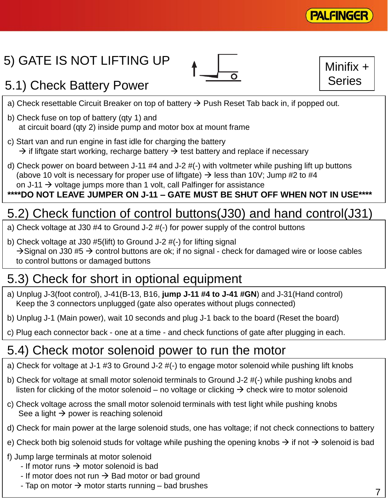

# 5) GATE IS NOT LIFTING UP



Minifix + Series

# 5.1) Check Battery Power

- a) Check resettable Circuit Breaker on top of battery  $\rightarrow$  Push Reset Tab back in, if popped out.
- b) Check fuse on top of battery (qty 1) and at circuit board (qty 2) inside pump and motor box at mount frame
- c) Start van and run engine in fast idle for charging the battery  $\rightarrow$  if liftgate start working, recharge battery  $\rightarrow$  test battery and replace if necessary
- d) Check power on board between J-11 #4 and J-2 #(-) with voltmeter while pushing lift up buttons (above 10 volt is necessary for proper use of liftgate)  $\rightarrow$  less than 10V; Jump #2 to #4 on J-11  $\rightarrow$  voltage jumps more than 1 volt, call Palfinger for assistance

#### **\*\*\*\*DO NOT LEAVE JUMPER ON J-11 – GATE MUST BE SHUT OFF WHEN NOT IN USE\*\*\*\***

# 5.2) Check function of control buttons(J30) and hand control(J31)

- a) Check voltage at J30 #4 to Ground J-2 #(-) for power supply of the control buttons
- b) Check voltage at J30 #5(lift) to Ground J-2 #(-) for lifting signal  $\rightarrow$  Signal on J30 #5  $\rightarrow$  control buttons are ok; if no signal - check for damaged wire or loose cables to control buttons or damaged buttons

# 5.3) Check for short in optional equipment

- a) Unplug J-3(foot control), J-41(B-13, B16, **jump J-11 #4 to J-41 #GN**) and J-31(Hand control) Keep the 3 connectors unplugged (gate also operates without plugs connected)
- b) Unplug J-1 (Main power), wait 10 seconds and plug J-1 back to the board (Reset the board)
- c) Plug each connector back one at a time and check functions of gate after plugging in each.

# 5.4) Check motor solenoid power to run the motor

- a) Check for voltage at J-1 #3 to Ground J-2 #(-) to engage motor solenoid while pushing lift knobs
- b) Check for voltage at small motor solenoid terminals to Ground J-2 #(-) while pushing knobs and listen for clicking of the motor solenoid – no voltage or clicking  $\rightarrow$  check wire to motor solenoid
- c) Check voltage across the small motor solenoid terminals with test light while pushing knobs See a light  $\rightarrow$  power is reaching solenoid
- d) Check for main power at the large solenoid studs, one has voltage; if not check connections to battery
- e) Check both big solenoid studs for voltage while pushing the opening knobs  $\rightarrow$  if not  $\rightarrow$  solenoid is bad
- f) Jump large terminals at motor solenoid
	- If motor runs  $\rightarrow$  motor solenoid is bad
	- If motor does not run  $\rightarrow$  Bad motor or bad ground
	- Tap on motor  $\rightarrow$  motor starts running bad brushes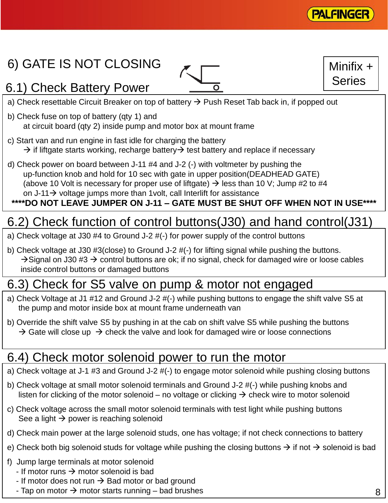

Minifix +

Series

# 6) GATE IS NOT CLOSING

# 6.1) Check Battery Power



a) Check resettable Circuit Breaker on top of battery  $\rightarrow$  Push Reset Tab back in, if popped out

- b) Check fuse on top of battery (qty 1) and at circuit board (qty 2) inside pump and motor box at mount frame
- c) Start van and run engine in fast idle for charging the battery  $\rightarrow$  if liftgate starts working, recharge battery  $\rightarrow$  test battery and replace if necessary
- d) Check power on board between J-11 #4 and J-2 (-) with voltmeter by pushing the up-function knob and hold for 10 sec with gate in upper position(DEADHEAD GATE) (above 10 Volt is necessary for proper use of liftgate)  $\rightarrow$  less than 10 V; Jump #2 to #4 on J-11 $\rightarrow$  voltage jumps more than 1 volt, call Interlift for assistance

#### **\*\*\*\*DO NOT LEAVE JUMPER ON J-11 – GATE MUST BE SHUT OFF WHEN NOT IN USE\*\*\*\***

# 6.2) Check function of control buttons(J30) and hand control(J31)

- a) Check voltage at J30 #4 to Ground J-2 #(-) for power supply of the control buttons
- b) Check voltage at J30 #3(close) to Ground J-2 #(-) for lifting signal while pushing the buttons.  $\rightarrow$  Signal on J30 #3  $\rightarrow$  control buttons are ok; if no signal, check for damaged wire or loose cables inside control buttons or damaged buttons

### 6.3) Check for S5 valve on pump & motor not engaged

- a) Check Voltage at J1 #12 and Ground J-2 #(-) while pushing buttons to engage the shift valve S5 at the pump and motor inside box at mount frame underneath van
- b) Override the shift valve S5 by pushing in at the cab on shift valve S5 while pushing the buttons  $\rightarrow$  Gate will close up  $\rightarrow$  check the valve and look for damaged wire or loose connections

#### 6.4) Check motor solenoid power to run the motor

- a) Check voltage at J-1 #3 and Ground J-2 #(-) to engage motor solenoid while pushing closing buttons
- b) Check voltage at small motor solenoid terminals and Ground J-2 #(-) while pushing knobs and listen for clicking of the motor solenoid – no voltage or clicking  $\rightarrow$  check wire to motor solenoid
- c) Check voltage across the small motor solenoid terminals with test light while pushing buttons See a light  $\rightarrow$  power is reaching solenoid
- d) Check main power at the large solenoid studs, one has voltage; if not check connections to battery
- e) Check both big solenoid studs for voltage while pushing the closing buttons  $\rightarrow$  if not  $\rightarrow$  solenoid is bad
- f) Jump large terminals at motor solenoid
	- If motor runs  $\rightarrow$  motor solenoid is bad
	- If motor does not run  $\rightarrow$  Bad motor or bad ground
	- Tap on motor  $\rightarrow$  motor starts running bad brushes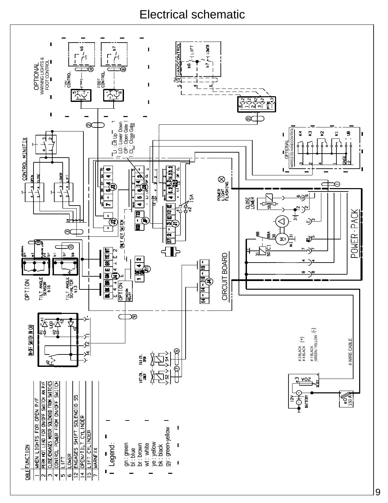#### Electrical schematic